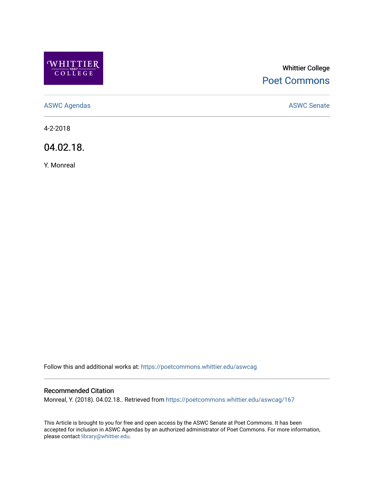

# Whittier College [Poet Commons](https://poetcommons.whittier.edu/)

[ASWC Agendas](https://poetcommons.whittier.edu/aswcag) **ASWC Senate** 

4-2-2018

04.02.18.

Y. Monreal

Follow this and additional works at: [https://poetcommons.whittier.edu/aswcag](https://poetcommons.whittier.edu/aswcag?utm_source=poetcommons.whittier.edu%2Faswcag%2F167&utm_medium=PDF&utm_campaign=PDFCoverPages) 

# Recommended Citation

Monreal, Y. (2018). 04.02.18.. Retrieved from [https://poetcommons.whittier.edu/aswcag/167](https://poetcommons.whittier.edu/aswcag/167?utm_source=poetcommons.whittier.edu%2Faswcag%2F167&utm_medium=PDF&utm_campaign=PDFCoverPages) 

This Article is brought to you for free and open access by the ASWC Senate at Poet Commons. It has been accepted for inclusion in ASWC Agendas by an authorized administrator of Poet Commons. For more information, please contact [library@whittier.edu](mailto:library@whittier.edu).